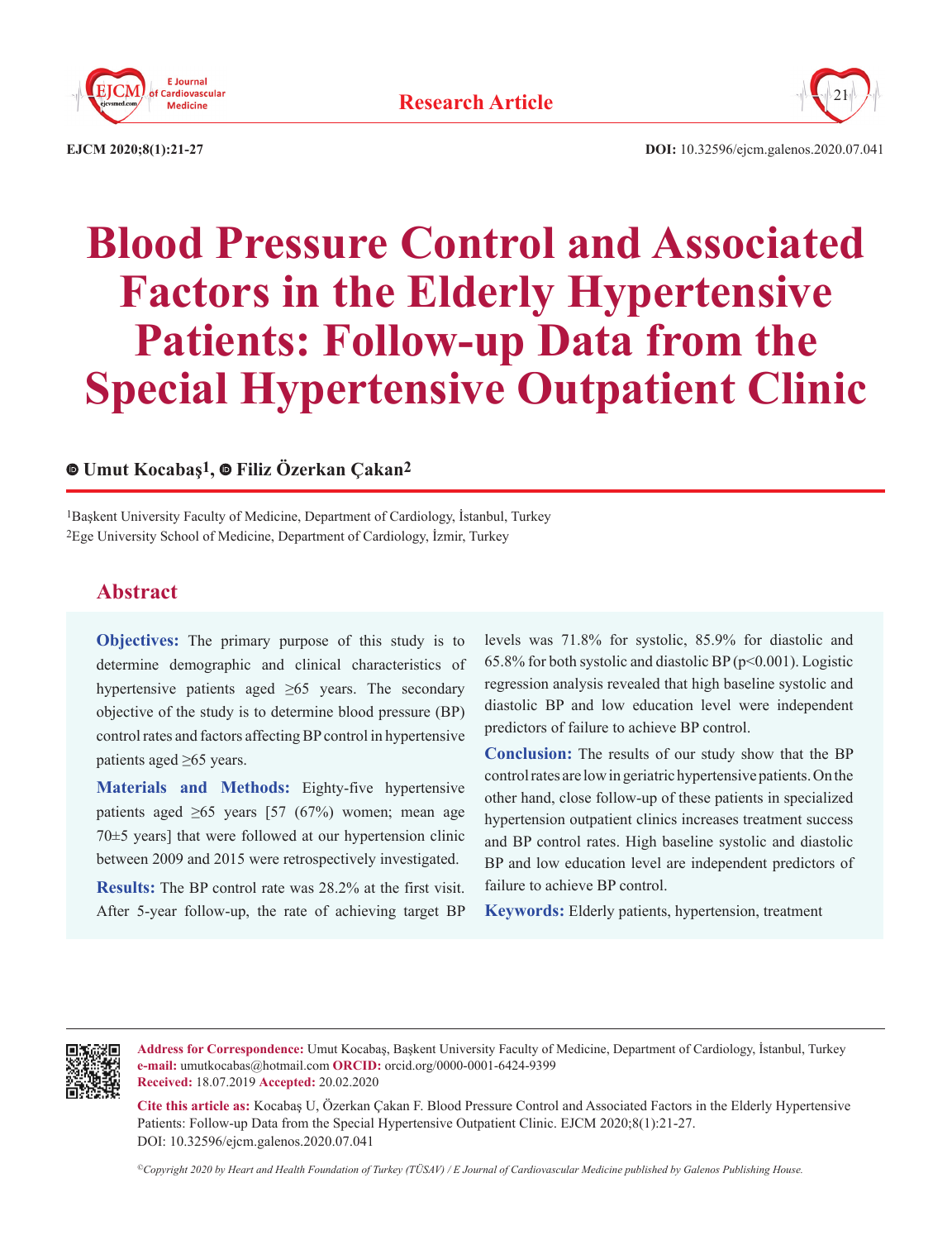



**EJCM 2020;8(1):21-27 DOI:** 10.32596/ejcm.galenos.2020.07.041

# **Blood Pressure Control and Associated Factors in the Elderly Hypertensive Patients: Follow-up Data from the Special Hypertensive Outpatient Clinic**

# **Umut Kocabaş1,Filiz Özerkan Çakan2**

1Başkent University Faculty of Medicine, Department of Cardiology, İstanbul, Turkey 2Ege University School of Medicine, Department of Cardiology, İzmir, Turkey

# **Abstract**

**Objectives:** The primary purpose of this study is to determine demographic and clinical characteristics of hypertensive patients aged  $\geq 65$  years. The secondary objective of the study is to determine blood pressure (BP) control rates and factors affecting BP control in hypertensive patients aged ≥65 years.

**Materials and Methods:** Eighty-five hypertensive patients aged  $\geq 65$  years [57 (67%) women; mean age 70±5 years] that were followed at our hypertension clinic between 2009 and 2015 were retrospectively investigated.

**Results:** The BP control rate was 28.2% at the first visit. After 5-year follow-up, the rate of achieving target BP levels was 71.8% for systolic, 85.9% for diastolic and 65.8% for both systolic and diastolic BP ( $p<0.001$ ). Logistic regression analysis revealed that high baseline systolic and diastolic BP and low education level were independent predictors of failure to achieve BP control.

**Conclusion:** The results of our study show that the BP control rates are low in geriatric hypertensive patients. On the other hand, close follow-up of these patients in specialized hypertension outpatient clinics increases treatment success and BP control rates. High baseline systolic and diastolic BP and low education level are independent predictors of failure to achieve BP control.

**Keywords:** Elderly patients, hypertension, treatment



**Address for Correspondence:** Umut Kocabaş, Başkent University Faculty of Medicine, Department of Cardiology, İstanbul, Turkey **e-mail:** umutkocabas@hotmail.com **ORCID:** orcid.org/0000-0001-6424-9399 **Received:** 18.07.2019 **Accepted:** 20.02.2020

**Cite this article as:** Kocabaş U, Özerkan Çakan F. Blood Pressure Control and Associated Factors in the Elderly Hypertensive Patients: Follow-up Data from the Special Hypertensive Outpatient Clinic. EJCM 2020;8(1):21-27. DOI: 10.32596/ejcm.galenos.2020.07.041

*©Copyright 2020 by Heart and Health Foundation of Turkey (TÜSAV) / E Journal of Cardiovascular Medicine published by Galenos Publishing House.*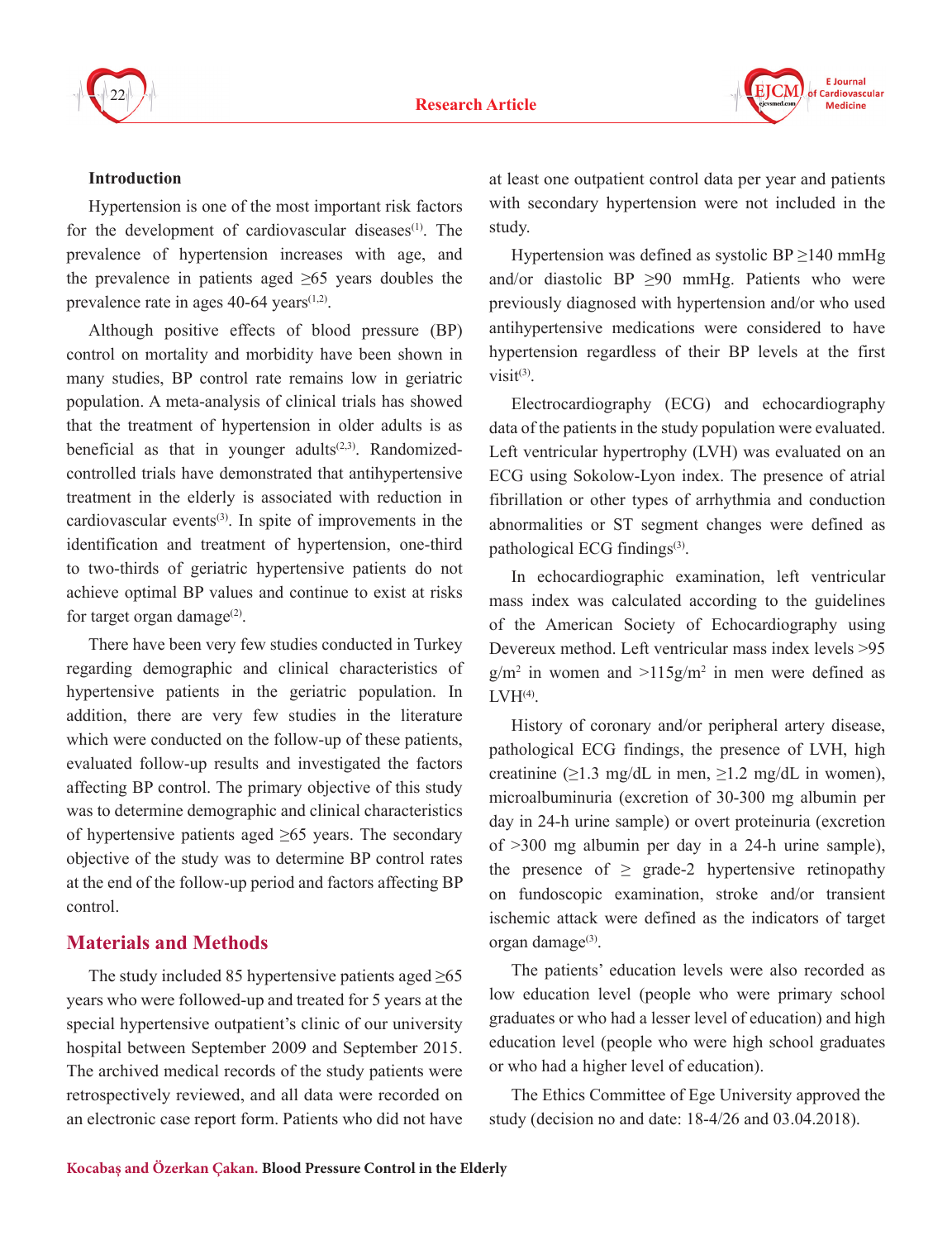



#### **Introduction**

Hypertension is one of the most important risk factors for the development of cardiovascular diseases $(1)$ . The prevalence of hypertension increases with age, and the prevalence in patients aged  $\geq 65$  years doubles the prevalence rate in ages  $40-64$  years<sup> $(1,2)$ </sup>.

Although positive effects of blood pressure (BP) control on mortality and morbidity have been shown in many studies, BP control rate remains low in geriatric population. A meta-analysis of clinical trials has showed that the treatment of hypertension in older adults is as beneficial as that in younger adults $(2,3)$ . Randomizedcontrolled trials have demonstrated that antihypertensive treatment in the elderly is associated with reduction in cardiovascular events $(3)$ . In spite of improvements in the identification and treatment of hypertension, one-third to two-thirds of geriatric hypertensive patients do not achieve optimal BP values and continue to exist at risks for target organ damage $(2)$ .

There have been very few studies conducted in Turkey regarding demographic and clinical characteristics of hypertensive patients in the geriatric population. In addition, there are very few studies in the literature which were conducted on the follow-up of these patients, evaluated follow-up results and investigated the factors affecting BP control. The primary objective of this study was to determine demographic and clinical characteristics of hypertensive patients aged  $\geq 65$  years. The secondary objective of the study was to determine BP control rates at the end of the follow-up period and factors affecting BP control.

# **Materials and Methods**

The study included 85 hypertensive patients aged  $\geq 65$ years who were followed-up and treated for 5 years at the special hypertensive outpatient's clinic of our university hospital between September 2009 and September 2015. The archived medical records of the study patients were retrospectively reviewed, and all data were recorded on an electronic case report form. Patients who did not have at least one outpatient control data per year and patients with secondary hypertension were not included in the study.

Hypertension was defined as systolic BP  $\geq$ 140 mmHg and/or diastolic BP  $\geq 90$  mmHg. Patients who were previously diagnosed with hypertension and/or who used antihypertensive medications were considered to have hypertension regardless of their BP levels at the first visit $(3)$ .

Electrocardiography (ECG) and echocardiography data of the patients in the study population were evaluated. Left ventricular hypertrophy (LVH) was evaluated on an ECG using Sokolow-Lyon index. The presence of atrial fibrillation or other types of arrhythmia and conduction abnormalities or ST segment changes were defined as pathological ECG findings<sup>(3)</sup>.

In echocardiographic examination, left ventricular mass index was calculated according to the guidelines of the American Society of Echocardiography using Devereux method. Left ventricular mass index levels >95  $g/m^2$  in women and  $>115g/m^2$  in men were defined as  $LWH<sup>(4)</sup>$ .

History of coronary and/or peripheral artery disease, pathological ECG findings, the presence of LVH, high creatinine ( $\geq$ 1.3 mg/dL in men,  $\geq$ 1.2 mg/dL in women), microalbuminuria (excretion of 30-300 mg albumin per day in 24-h urine sample) or overt proteinuria (excretion of >300 mg albumin per day in a 24-h urine sample), the presence of  $\geq$  grade-2 hypertensive retinopathy on fundoscopic examination, stroke and/or transient ischemic attack were defined as the indicators of target organ damage<sup>(3)</sup>.

The patients' education levels were also recorded as low education level (people who were primary school graduates or who had a lesser level of education) and high education level (people who were high school graduates or who had a higher level of education).

The Ethics Committee of Ege University approved the study (decision no and date: 18-4/26 and 03.04.2018).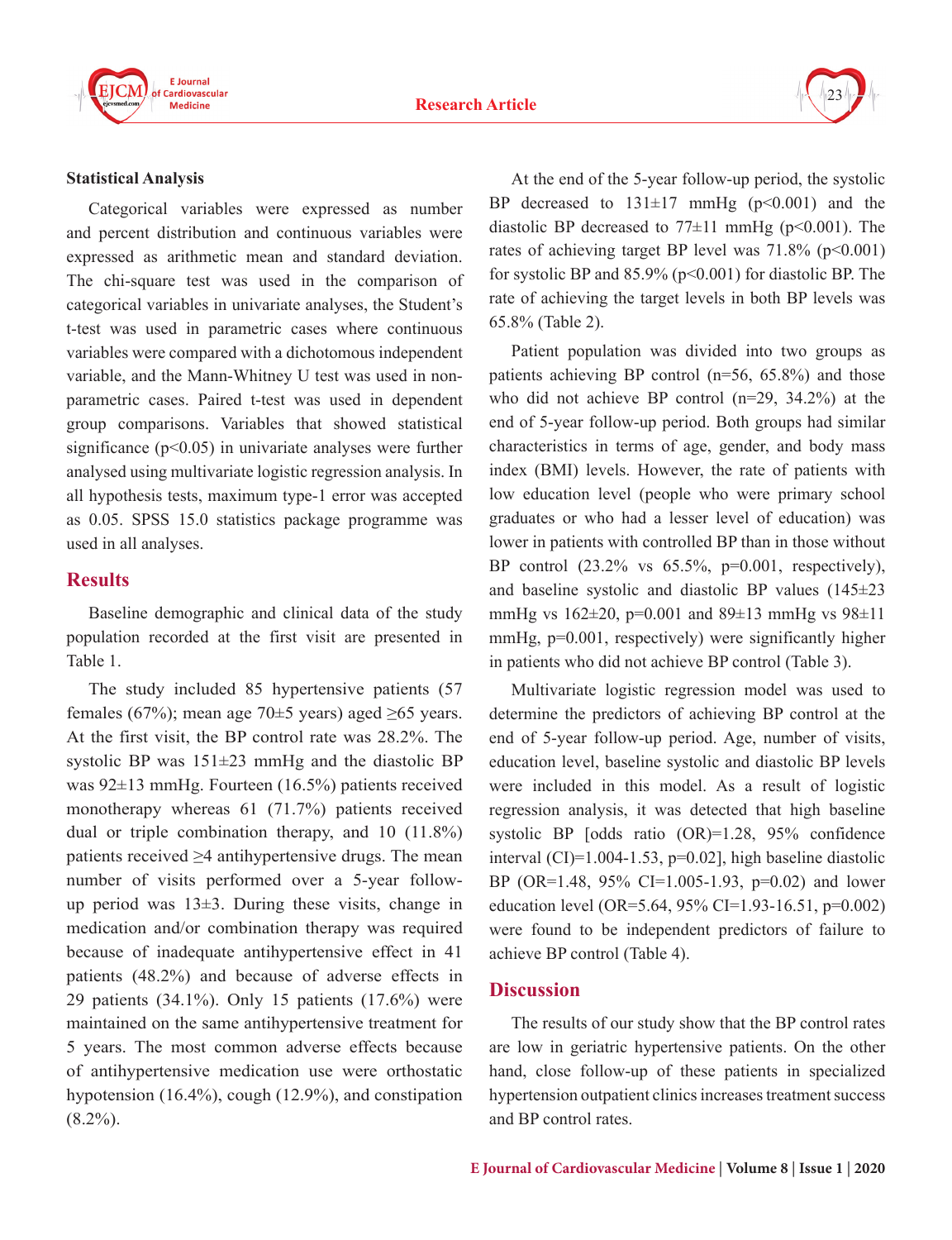



#### **Statistical Analysis**

Categorical variables were expressed as number and percent distribution and continuous variables were expressed as arithmetic mean and standard deviation. The chi-square test was used in the comparison of categorical variables in univariate analyses, the Student's t-test was used in parametric cases where continuous variables were compared with a dichotomous independent variable, and the Mann-Whitney U test was used in nonparametric cases. Paired t-test was used in dependent group comparisons. Variables that showed statistical significance  $(p<0.05)$  in univariate analyses were further analysed using multivariate logistic regression analysis. In all hypothesis tests, maximum type-1 error was accepted as 0.05. SPSS 15.0 statistics package programme was used in all analyses.

## **Results**

Baseline demographic and clinical data of the study population recorded at the first visit are presented in Table 1.

The study included 85 hypertensive patients (57 females (67%); mean age 70 $\pm$ 5 years) aged  $\geq$ 65 years. At the first visit, the BP control rate was 28.2%. The systolic BP was  $151\pm23$  mmHg and the diastolic BP was 92±13 mmHg. Fourteen (16.5%) patients received monotherapy whereas 61 (71.7%) patients received dual or triple combination therapy, and 10 (11.8%) patients received ≥4 antihypertensive drugs. The mean number of visits performed over a 5-year followup period was  $13\pm3$ . During these visits, change in medication and/or combination therapy was required because of inadequate antihypertensive effect in 41 patients (48.2%) and because of adverse effects in 29 patients (34.1%). Only 15 patients (17.6%) were maintained on the same antihypertensive treatment for 5 years. The most common adverse effects because of antihypertensive medication use were orthostatic hypotension (16.4%), cough (12.9%), and constipation  $(8.2\%)$ .

At the end of the 5-year follow-up period, the systolic BP decreased to  $131\pm17$  mmHg ( $p<0.001$ ) and the diastolic BP decreased to  $77\pm11$  mmHg (p<0.001). The rates of achieving target BP level was  $71.8\%$  (p<0.001) for systolic BP and  $85.9\%$  (p<0.001) for diastolic BP. The rate of achieving the target levels in both BP levels was 65.8% (Table 2).

Patient population was divided into two groups as patients achieving BP control (n=56, 65.8%) and those who did not achieve BP control (n=29, 34.2%) at the end of 5-year follow-up period. Both groups had similar characteristics in terms of age, gender, and body mass index (BMI) levels. However, the rate of patients with low education level (people who were primary school graduates or who had a lesser level of education) was lower in patients with controlled BP than in those without BP control (23.2% vs 65.5%, p=0.001, respectively), and baseline systolic and diastolic BP values (145±23 mmHg vs 162±20, p=0.001 and 89±13 mmHg vs 98±11 mmHg,  $p=0.001$ , respectively) were significantly higher in patients who did not achieve BP control (Table 3).

Multivariate logistic regression model was used to determine the predictors of achieving BP control at the end of 5-year follow-up period. Age, number of visits, education level, baseline systolic and diastolic BP levels were included in this model. As a result of logistic regression analysis, it was detected that high baseline systolic BP [odds ratio (OR)=1.28, 95% confidence interval  $(CI)=1.004-1.53$ ,  $p=0.02$ ], high baseline diastolic BP (OR=1.48, 95% CI=1.005-1.93, p=0.02) and lower education level (OR=5.64, 95% CI=1.93-16.51, p=0.002) were found to be independent predictors of failure to achieve BP control (Table 4).

### **Discussion**

The results of our study show that the BP control rates are low in geriatric hypertensive patients. On the other hand, close follow-up of these patients in specialized hypertension outpatient clinics increases treatment success and BP control rates.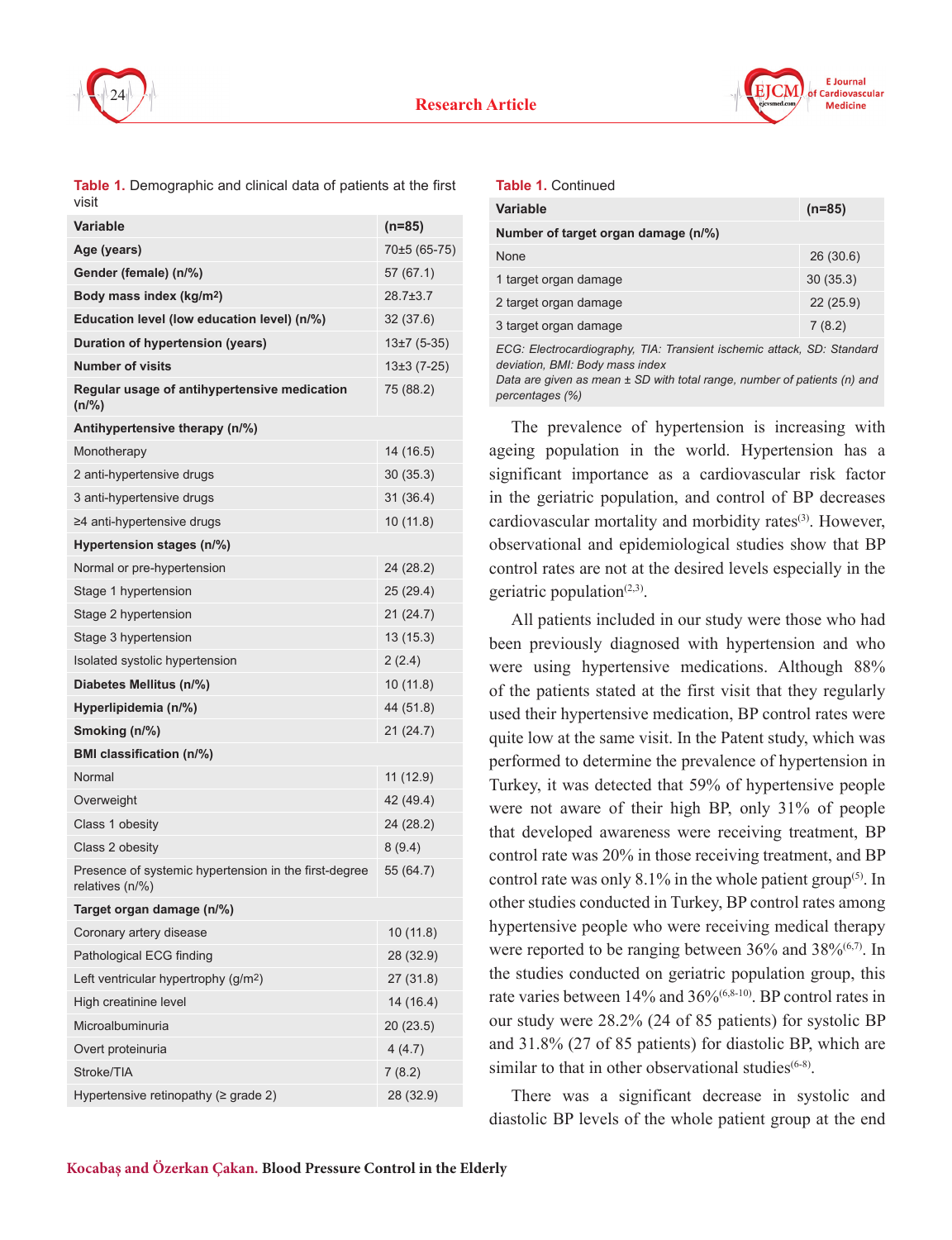



**Table 1.** Demographic and clinical data of patients at the first visit

| Variable                                                                 | $(n=85)$       |
|--------------------------------------------------------------------------|----------------|
| Age (years)                                                              | 70±5 (65-75)   |
| Gender (female) (n/%)                                                    | 57 (67.1)      |
| Body mass index (kg/m <sup>2</sup> )                                     | $28.7 \pm 3.7$ |
| Education level (low education level) (n/%)                              | 32(37.6)       |
| Duration of hypertension (years)                                         | $13\pm7(5-35)$ |
| <b>Number of visits</b>                                                  | $13±3(7-25)$   |
| Regular usage of antihypertensive medication<br>$(n\frac{9}{6})$         | 75 (88.2)      |
| Antihypertensive therapy (n/%)                                           |                |
| Monotherapy                                                              | 14 (16.5)      |
| 2 anti-hypertensive drugs                                                | 30(35.3)       |
| 3 anti-hypertensive drugs                                                | 31(36.4)       |
| ≥4 anti-hypertensive drugs                                               | 10 (11.8)      |
| Hypertension stages (n/%)                                                |                |
| Normal or pre-hypertension                                               | 24 (28.2)      |
| Stage 1 hypertension                                                     | 25 (29.4)      |
| Stage 2 hypertension                                                     | 21 (24.7)      |
| Stage 3 hypertension                                                     | 13 (15.3)      |
| Isolated systolic hypertension                                           | 2(2.4)         |
| Diabetes Mellitus (n/%)                                                  | 10 (11.8)      |
| Hyperlipidemia (n/%)                                                     | 44 (51.8)      |
| Smoking (n/%)                                                            | 21 (24.7)      |
| <b>BMI</b> classification (n/%)                                          |                |
| Normal                                                                   | 11 (12.9)      |
| Overweight                                                               | 42 (49.4)      |
| Class 1 obesity                                                          | 24 (28.2)      |
| Class 2 obesity                                                          | 8(9.4)         |
| Presence of systemic hypertension in the first-degree<br>relatives (n/%) | 55 (64.7)      |
| Target organ damage (n/%)                                                |                |
| Coronary artery disease                                                  | 10 (11.8)      |
| Pathological ECG finding                                                 | 28 (32.9)      |
| Left ventricular hypertrophy (g/m <sup>2</sup> )                         | 27 (31.8)      |
| High creatinine level                                                    | 14 (16.4)      |
| Microalbuminuria                                                         | 20(23.5)       |
| Overt proteinuria                                                        | 4(4.7)         |
| Stroke/TIA                                                               | 7(8.2)         |
| Hypertensive retinopathy (≥ grade 2)                                     | 28 (32.9)      |

|  | <b>Table 1. Continued</b> |
|--|---------------------------|
|--|---------------------------|

| <b>Variable</b>                                                                                                                                                                           | $(n=85)$ |
|-------------------------------------------------------------------------------------------------------------------------------------------------------------------------------------------|----------|
| Number of target organ damage (n/%)                                                                                                                                                       |          |
| <b>None</b>                                                                                                                                                                               | 26(30.6) |
| 1 target organ damage                                                                                                                                                                     | 30(35.3) |
| 2 target organ damage                                                                                                                                                                     | 22(25.9) |
| 3 target organ damage                                                                                                                                                                     | 7(8.2)   |
| ECG: Electrocardiography, TIA: Transient ischemic attack, SD: Standard<br>deviation, BMI: Body mass index<br>Data are given as mean $\pm$ SD with total range, number of nationts (n) and |          |

*Data are given as mean ± SD with total range, number of patients (n) and percentages (%)*

The prevalence of hypertension is increasing with ageing population in the world. Hypertension has a significant importance as a cardiovascular risk factor in the geriatric population, and control of BP decreases cardiovascular mortality and morbidity rates<sup>(3)</sup>. However, observational and epidemiological studies show that BP control rates are not at the desired levels especially in the geriatric population<sup> $(2,3)$ </sup>.

All patients included in our study were those who had been previously diagnosed with hypertension and who were using hypertensive medications. Although 88% of the patients stated at the first visit that they regularly used their hypertensive medication, BP control rates were quite low at the same visit. In the Patent study, which was performed to determine the prevalence of hypertension in Turkey, it was detected that 59% of hypertensive people were not aware of their high BP, only 31% of people that developed awareness were receiving treatment, BP control rate was 20% in those receiving treatment, and BP control rate was only  $8.1\%$  in the whole patient group<sup>(5)</sup>. In other studies conducted in Turkey, BP control rates among hypertensive people who were receiving medical therapy were reported to be ranging between 36% and 38%<sup>(6,7)</sup>. In the studies conducted on geriatric population group, this rate varies between 14% and 36%(6,8-10). BP control rates in our study were 28.2% (24 of 85 patients) for systolic BP and 31.8% (27 of 85 patients) for diastolic BP, which are similar to that in other observational studies $(6-8)$ .

There was a significant decrease in systolic and diastolic BP levels of the whole patient group at the end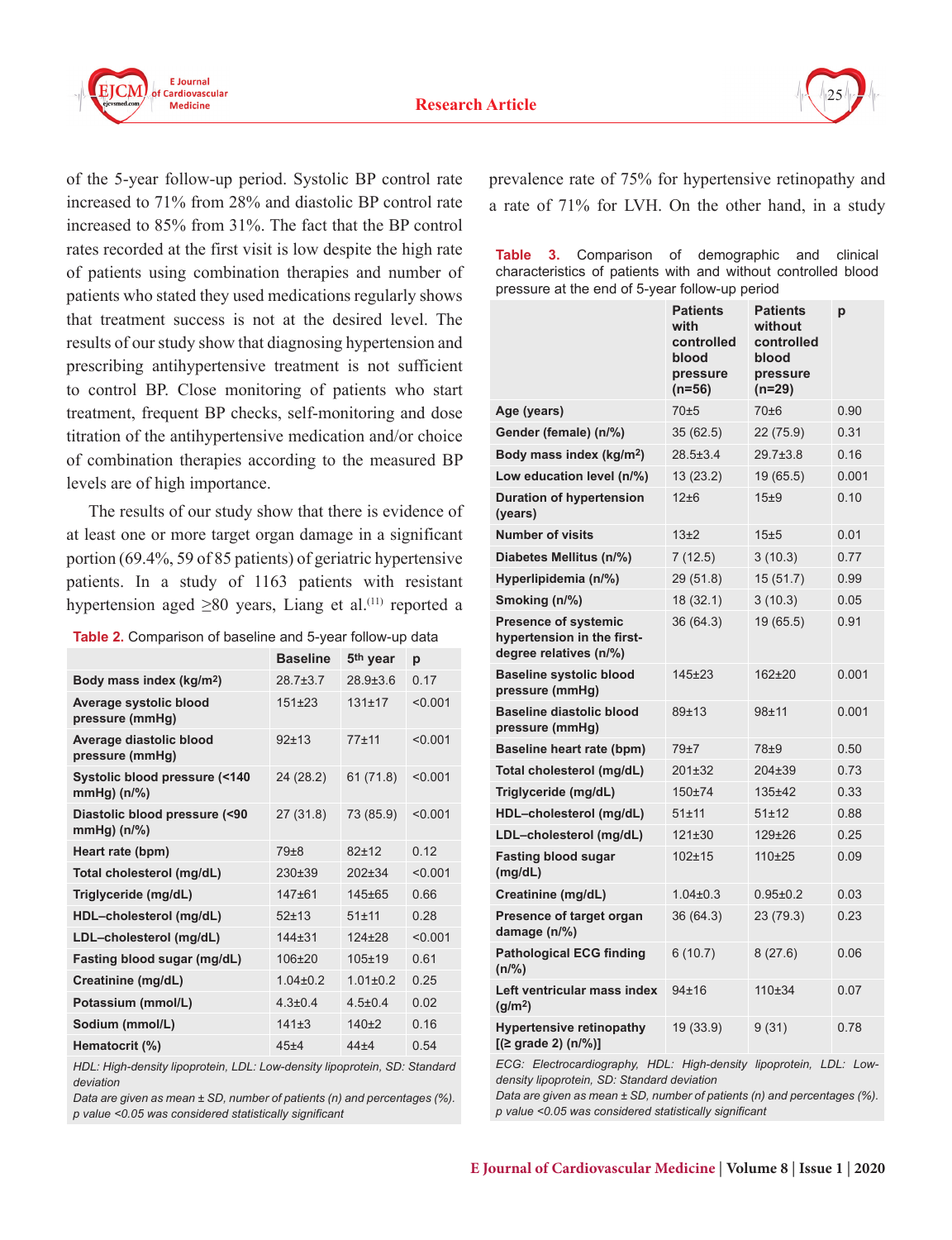



of the 5-year follow-up period. Systolic BP control rate increased to 71% from 28% and diastolic BP control rate increased to 85% from 31%. The fact that the BP control rates recorded at the first visit is low despite the high rate of patients using combination therapies and number of patients who stated they used medications regularly shows that treatment success is not at the desired level. The results of our study show that diagnosing hypertension and prescribing antihypertensive treatment is not sufficient to control BP. Close monitoring of patients who start treatment, frequent BP checks, self-monitoring and dose titration of the antihypertensive medication and/or choice of combination therapies according to the measured BP levels are of high importance.

The results of our study show that there is evidence of at least one or more target organ damage in a significant portion (69.4%, 59 of 85 patients) of geriatric hypertensive patients. In a study of 1163 patients with resistant hypertension aged  $\geq 80$  years, Liang et al.<sup>(11)</sup> reported a

**Table 2.** Comparison of baseline and 5-year follow-up data

|                                                | <b>Baseline</b> | 5 <sup>th</sup> year | p       |
|------------------------------------------------|-----------------|----------------------|---------|
| Body mass index (kg/m <sup>2</sup> )           | 28 7 + 3 7      | 28 9 + 3 6           | 0.17    |
| Average systolic blood<br>pressure (mmHg)      | $151+23$        | $131+17$             | < 0.001 |
| Average diastolic blood<br>pressure (mmHg)     | $92+13$         | $77 + 11$            | < 0.001 |
| Systolic blood pressure (<140<br>$mmHg)$ (n/%) | 24 (28.2)       | 61(71.8)             | < 0.001 |
| Diastolic blood pressure (<90<br>$mmHg)$ (n/%) | 27(31.8)        | 73 (85.9)            | < 0.001 |
| Heart rate (bpm)                               | $79 + 8$        | $82+12$              | 0.12    |
| Total cholesterol (mg/dL)                      | $230+39$        | $202 + 34$           | < 0.001 |
| Triglyceride (mg/dL)                           | $147 + 61$      | $145 + 65$           | 0.66    |
| HDL-cholesterol (mg/dL)                        | $52 + 13$       | $51 + 11$            | 0.28    |
| LDL-cholesterol (mg/dL)                        | $144 + 31$      | $124 + 28$           | < 0.001 |
| Fasting blood sugar (mg/dL)                    | $106 + 20$      | $105 + 19$           | 0.61    |
| Creatinine (mg/dL)                             | $1.04 \pm 0.2$  | $1.01 \pm 0.2$       | 0.25    |
| Potassium (mmol/L)                             | $4.3 + 0.4$     | $45+04$              | 0.02    |
| Sodium (mmol/L)                                | 141±3           | $140+2$              | 0.16    |
| Hematocrit (%)                                 | $45 + 4$        | $44 + 4$             | 0.54    |

*HDL: High-density lipoprotein, LDL: Low-density lipoprotein, SD: Standard deviation*

*Data are given as mean ± SD, number of patients (n) and percentages (%). p value <0.05 was considered statistically significant*

prevalence rate of 75% for hypertensive retinopathy and a rate of 71% for LVH. On the other hand, in a study

|  | <b>Table 3.</b> Comparison of demographic and clinical        |  |  |  |
|--|---------------------------------------------------------------|--|--|--|
|  | characteristics of patients with and without controlled blood |  |  |  |
|  | pressure at the end of 5-year follow-up period                |  |  |  |

|                                                                                     | <b>Patients</b><br>with<br>controlled<br>blood<br>pressure<br>$(n=56)$ | <b>Patients</b><br>without<br>controlled<br>blood<br>pressure<br>(n=29) | p     |
|-------------------------------------------------------------------------------------|------------------------------------------------------------------------|-------------------------------------------------------------------------|-------|
| Age (years)                                                                         | 70±5                                                                   | 70±6                                                                    | 0.90  |
| Gender (female) (n/%)                                                               | 35 (62.5)                                                              | 22 (75.9)                                                               | 0.31  |
| Body mass index (kg/m <sup>2</sup> )                                                | 28.5±3.4                                                               | 29.7±3.8                                                                | 0.16  |
| Low education level (n/%)                                                           | 13 (23.2)                                                              | 19 (65.5)                                                               | 0.001 |
| <b>Duration of hypertension</b><br>(years)                                          | 12±6                                                                   | 15±9                                                                    | 0.10  |
| <b>Number of visits</b>                                                             | 13±2                                                                   | 15±5                                                                    | 0.01  |
| Diabetes Mellitus (n/%)                                                             | 7 (12.5)                                                               | 3(10.3)                                                                 | 0.77  |
| Hyperlipidemia (n/%)                                                                | 29 (51.8)                                                              | 15 (51.7)                                                               | 0.99  |
| Smoking (n/%)                                                                       | 18 (32.1)                                                              | 3(10.3)                                                                 | 0.05  |
| <b>Presence of systemic</b><br>hypertension in the first-<br>degree relatives (n/%) | 36 (64.3)                                                              | 19 (65.5)                                                               | 0.91  |
| <b>Baseline systolic blood</b><br>pressure (mmHg)                                   | 145±23                                                                 | 162±20                                                                  | 0.001 |
| <b>Baseline diastolic blood</b><br>pressure (mmHg)                                  | 89±13                                                                  | 98±11                                                                   | 0.001 |
| Baseline heart rate (bpm)                                                           | 79±7                                                                   | 78±9                                                                    | 0.50  |
| Total cholesterol (mg/dL)                                                           | 201±32                                                                 | 204±39                                                                  | 0.73  |
| Triglyceride (mg/dL)                                                                | $150 + 74$                                                             | $135 + 42$                                                              | 0.33  |
| HDL-cholesterol (mg/dL)                                                             | $51 + 11$                                                              | 51±12                                                                   | 0.88  |
| LDL-cholesterol (mg/dL)                                                             | 121±30                                                                 | $129 + 26$                                                              | 0.25  |
| <b>Fasting blood sugar</b><br>(mg/dL)                                               | 102±15                                                                 | 110±25                                                                  | 0.09  |
| Creatinine (mg/dL)                                                                  | $1.04 \pm 0.3$                                                         | $0.95 + 0.2$                                                            | 0.03  |
| Presence of target organ<br>damage (n/%)                                            | 36 (64.3)                                                              | 23 (79.3)                                                               | 0.23  |
| <b>Pathological ECG finding</b><br>(n/%)                                            | 6(10.7)                                                                | 8(27.6)                                                                 | 0.06  |
| Left ventricular mass index<br>(q/m <sup>2</sup> )                                  | 94±16                                                                  | 110±34                                                                  | 0.07  |
| <b>Hypertensive retinopathy</b><br>$[(\geq\text{grade }2)\ (n/\%)]$                 | 19 (33.9)                                                              | 9(31)                                                                   | 0.78  |

*ECG: Electrocardiography, HDL: High-density lipoprotein, LDL: Lowdensity lipoprotein, SD: Standard deviation*

*Data are given as mean ± SD, number of patients (n) and percentages (%). p value <0.05 was considered statistically significant*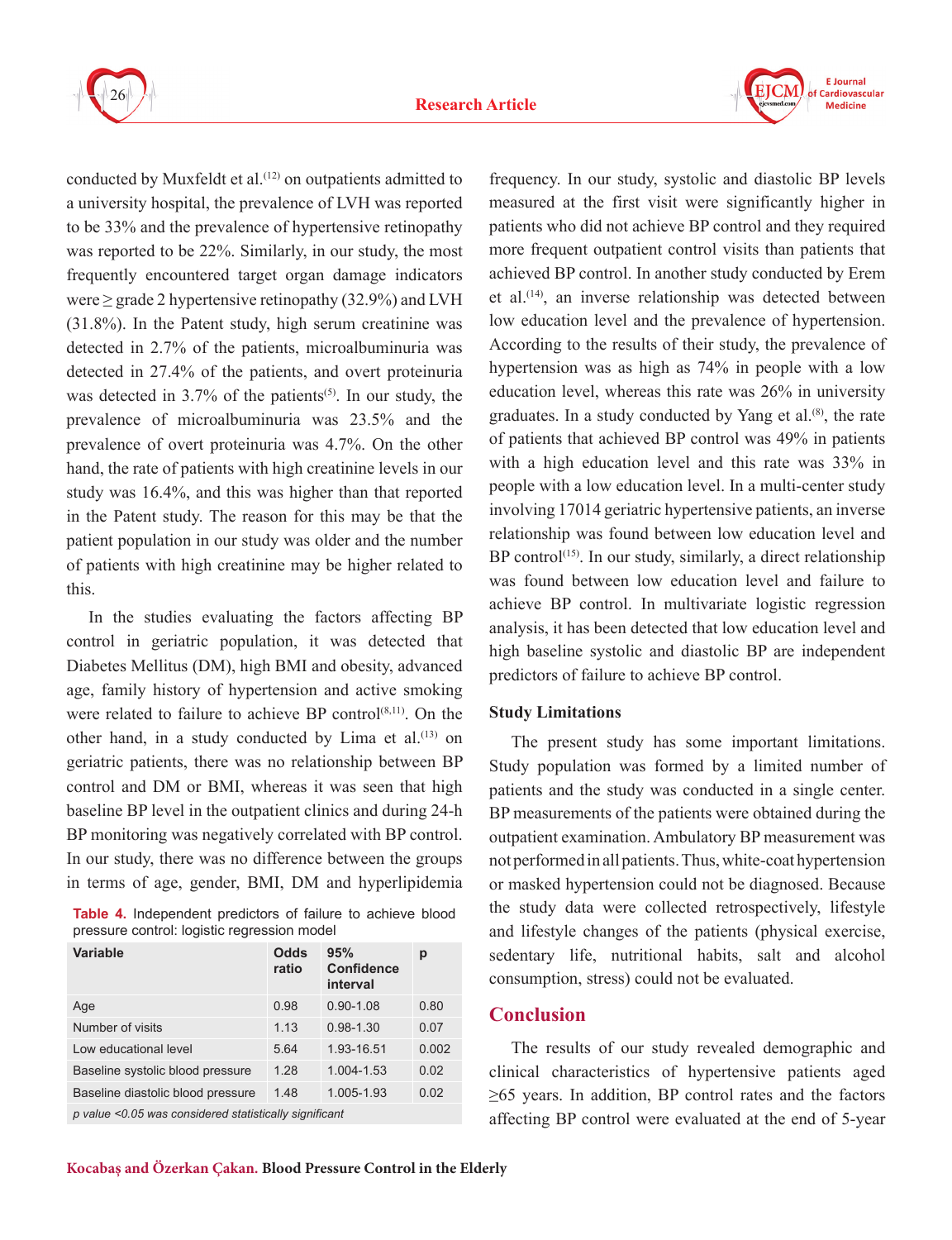

conducted by Muxfeldt et al.<sup>(12)</sup> on outpatients admitted to a university hospital, the prevalence of LVH was reported to be 33% and the prevalence of hypertensive retinopathy was reported to be 22%. Similarly, in our study, the most frequently encountered target organ damage indicators were  $\geq$  grade 2 hypertensive retinopathy (32.9%) and LVH (31.8%). In the Patent study, high serum creatinine was detected in 2.7% of the patients, microalbuminuria was detected in 27.4% of the patients, and overt proteinuria was detected in  $3.7\%$  of the patients<sup>(5)</sup>. In our study, the prevalence of microalbuminuria was 23.5% and the prevalence of overt proteinuria was 4.7%. On the other hand, the rate of patients with high creatinine levels in our study was 16.4%, and this was higher than that reported in the Patent study. The reason for this may be that the patient population in our study was older and the number of patients with high creatinine may be higher related to this.

In the studies evaluating the factors affecting BP control in geriatric population, it was detected that Diabetes Mellitus (DM), high BMI and obesity, advanced age, family history of hypertension and active smoking were related to failure to achieve BP control<sup>(8,11)</sup>. On the other hand, in a study conducted by Lima et al.<sup>(13)</sup> on geriatric patients, there was no relationship between BP control and DM or BMI, whereas it was seen that high baseline BP level in the outpatient clinics and during 24-h BP monitoring was negatively correlated with BP control. In our study, there was no difference between the groups in terms of age, gender, BMI, DM and hyperlipidemia

**Table 4.** Independent predictors of failure to achieve blood pressure control: logistic regression model

| Variable                          | Odds<br>ratio | 95%<br><b>Confidence</b><br>interval | р     |
|-----------------------------------|---------------|--------------------------------------|-------|
| Age                               | 0.98          | $0.90 - 1.08$                        | 0.80  |
| Number of visits                  | 1.13          | $0.98 - 1.30$                        | 0.07  |
| Low educational level             | 5.64          | 1.93-16.51                           | 0.002 |
| Baseline systolic blood pressure  | 1.28          | 1.004-1.53                           | 0.02  |
| Baseline diastolic blood pressure | 1.48          | 1.005-1.93                           | 0.02  |
|                                   |               |                                      |       |

*p value <0.05 was considered statistically significant*

frequency. In our study, systolic and diastolic BP levels measured at the first visit were significantly higher in patients who did not achieve BP control and they required more frequent outpatient control visits than patients that achieved BP control. In another study conducted by Erem et al.<sup>(14)</sup>, an inverse relationship was detected between low education level and the prevalence of hypertension. According to the results of their study, the prevalence of hypertension was as high as 74% in people with a low education level, whereas this rate was 26% in university graduates. In a study conducted by Yang et al.(8), the rate of patients that achieved BP control was 49% in patients with a high education level and this rate was 33% in people with a low education level. In a multi-center study involving 17014 geriatric hypertensive patients, an inverse relationship was found between low education level and  $BP$  control<sup> $(15)$ </sup>. In our study, similarly, a direct relationship was found between low education level and failure to achieve BP control. In multivariate logistic regression analysis, it has been detected that low education level and high baseline systolic and diastolic BP are independent predictors of failure to achieve BP control.

#### **Study Limitations**

The present study has some important limitations. Study population was formed by a limited number of patients and the study was conducted in a single center. BP measurements of the patients were obtained during the outpatient examination. Ambulatory BP measurement was not performed in all patients. Thus, white-coat hypertension or masked hypertension could not be diagnosed. Because the study data were collected retrospectively, lifestyle and lifestyle changes of the patients (physical exercise, sedentary life, nutritional habits, salt and alcohol consumption, stress) could not be evaluated.

## **Conclusion**

The results of our study revealed demographic and clinical characteristics of hypertensive patients aged ≥65 years. In addition, BP control rates and the factors affecting BP control were evaluated at the end of 5-year